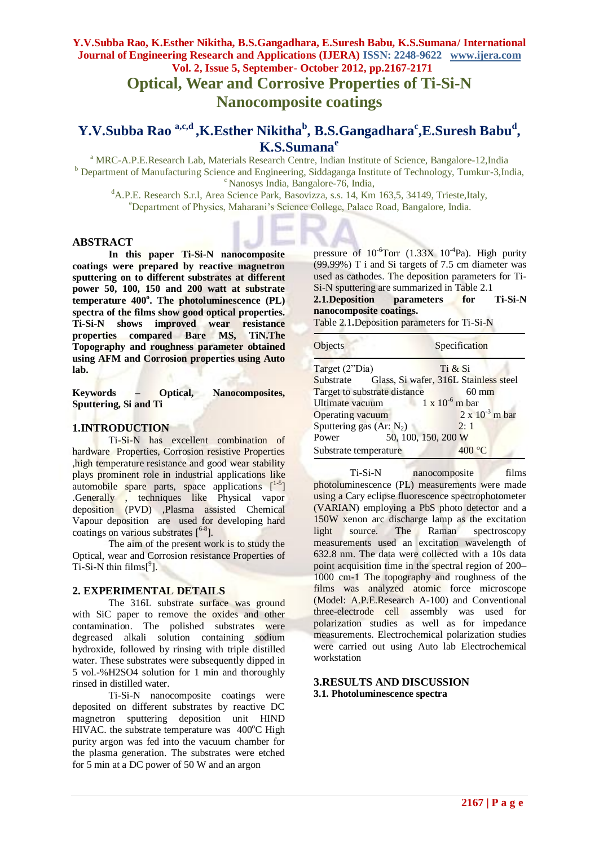**Optical, Wear and Corrosive Properties of Ti-Si-N Nanocomposite coatings**

# **Y.V.Subba Rao a,c,d ,K.Esther Nikitha<sup>b</sup> , B.S.Gangadhara<sup>c</sup> ,E.Suresh Babu<sup>d</sup> , K.S.Sumana<sup>e</sup>**

<sup>a</sup> MRC-A.P.E.Research Lab, Materials Research Centre, Indian Institute of Science, Bangalore-12, India <sup>b</sup> Department of Manufacturing Science and Engineering, Siddaganga Institute of Technology, Tumkur-3,India, <sup>c</sup> Nanosys India, Bangalore-76, India,

<sup>d</sup>A.P.E. Research S.r.l, Area Science Park, Basovizza, s.s. 14, Km 163,5, 34149, Trieste,Italy, <sup>e</sup>Department of Physics, Maharani's Science College, Palace Road, Bangalore, India.

#### **ABSTRACT**

**In this paper Ti-Si-N nanocomposite coatings were prepared by reactive magnetron sputtering on to different substrates at different power 50, 100, 150 and 200 watt at substrate temperature 400<sup>o</sup> . The photoluminescence (PL) spectra of the films show good optical properties. Ti-Si-N shows improved wear resistance properties compared Bare MS, TiN.The Topography and roughness parameter obtained using AFM and Corrosion properties using Auto lab.**

**Keywords – Optical, Nanocomposites, Sputtering, Si and Ti**

#### **1.INTRODUCTION**

Ti-Si-N has excellent combination of hardware Properties, Corrosion resistive Properties ,high temperature resistance and good wear stability plays prominent role in industrial applications like automobile spare parts, space applications  $[$ <sup>1-5</sup>] .Generally , techniques like Physical vapor deposition (PVD) ,Plasma assisted Chemical Vapour deposition are used for developing hard coatings on various substrates [ 6-8 ].

The aim of the present work is to study the Optical, wear and Corrosion resistance Properties of  $Ti-Si-N$  thin  $films[^9]$ .

#### **2. EXPERIMENTAL DETAILS**

The 316L substrate surface was ground with SiC paper to remove the oxides and other contamination. The polished substrates were degreased alkali solution containing sodium hydroxide, followed by rinsing with triple distilled water. These substrates were subsequently dipped in 5 vol.-%H2SO4 solution for 1 min and thoroughly rinsed in distilled water.

Ti-Si-N nanocomposite coatings were deposited on different substrates by reactive DC magnetron sputtering deposition unit HIND HIVAC. the substrate temperature was  $400^{\circ}$ C High purity argon was fed into the vacuum chamber for the plasma generation. The substrates were etched for 5 min at a DC power of 50 W and an argon

pressure of  $10^{-6}$ Torr (1.33X  $10^{-4}$ Pa). High purity (99.99%) T i and Si targets of 7.5 cm diameter was used as cathodes. The deposition parameters for Ti-Si-N sputtering are summarized in Table 2.1

**2.1.Deposition parameters for Ti-Si-N nanocomposite coatings.**

Table 2.1**.**Deposition parameters for Ti-Si-N

| Objects                      |                     | Specification                                   |  |  |  |
|------------------------------|---------------------|-------------------------------------------------|--|--|--|
| Target (2"Dia)               |                     | Ti & Si                                         |  |  |  |
|                              |                     | Substrate Glass, Si wafer, 316L Stainless steel |  |  |  |
| Target to substrate distance |                     | $60 \text{ mm}$                                 |  |  |  |
| Ultimate vacuum              |                     | $1 \times 10^{-6}$ m bar                        |  |  |  |
| <b>Operating vacuum</b>      |                     | $2 \times 10^{-3}$ m bar                        |  |  |  |
| Sputtering gas $(Ar: N_2)$   |                     | 2:1                                             |  |  |  |
| Power                        | 50, 100, 150, 200 W |                                                 |  |  |  |
| Substrate temperature        |                     | 400 °C                                          |  |  |  |

Ti-Si-N nanocomposite films photoluminescence (PL) measurements were made using a Cary eclipse fluorescence spectrophotometer (VARIAN) employing a PbS photo detector and a 150W xenon arc discharge lamp as the excitation light source. The Raman spectroscopy measurements used an excitation wavelength of 632.8 nm. The data were collected with a 10s data point acquisition time in the spectral region of 200– 1000 cm-1 The topography and roughness of the films was analyzed atomic force microscope (Model: A.P.E.Research A-100) and Conventional three-electrode cell assembly was used for polarization studies as well as for impedance measurements. Electrochemical polarization studies were carried out using Auto lab Electrochemical workstation

#### **3.RESULTS AND DISCUSSION 3.1. Photoluminescence spectra**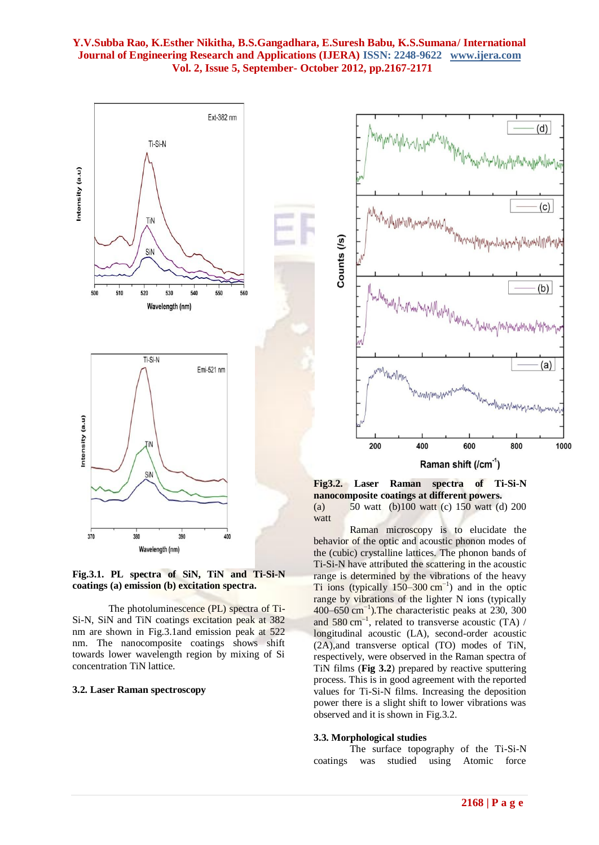



The photoluminescence (PL) spectra of Ti-Si-N, SiN and TiN coatings excitation peak at 382 nm are shown in Fig.3.1and emission peak at 522 nm. The nanocomposite coatings shows shift towards lower wavelength region by mixing of Si concentration TiN lattice.

#### **3.2. Laser Raman spectroscopy**



**Fig3.2. Laser Raman spectra of Ti-Si-N nanocomposite coatings at different powers.** (a) 50 watt (b)100 watt (c) 150 watt (d) 200 watt

Raman microscopy is to elucidate the behavior of the optic and acoustic phonon modes of the (cubic) crystalline lattices. The phonon bands of Ti-Si-N have attributed the scattering in the acoustic range is determined by the vibrations of the heavy Ti ions (typically  $150-300$  cm<sup>-1</sup>) and in the optic range by vibrations of the lighter N ions (typically 400–650 cm−1 ).The characteristic peaks at 230, 300 and 580 cm<sup>-1</sup>, related to transverse acoustic (TA) / longitudinal acoustic (LA), second-order acoustic (2A),and transverse optical (TO) modes of TiN, respectively, were observed in the Raman spectra of TiN films (**Fig 3.2**) prepared by reactive sputtering process. This is in good agreement with the reported values for Ti-Si-N films. Increasing the deposition power there is a slight shift to lower vibrations was observed and it is shown in Fig.3.2.

#### **3.3. Morphological studies**

The surface topography of the Ti-Si-N coatings was studied using Atomic force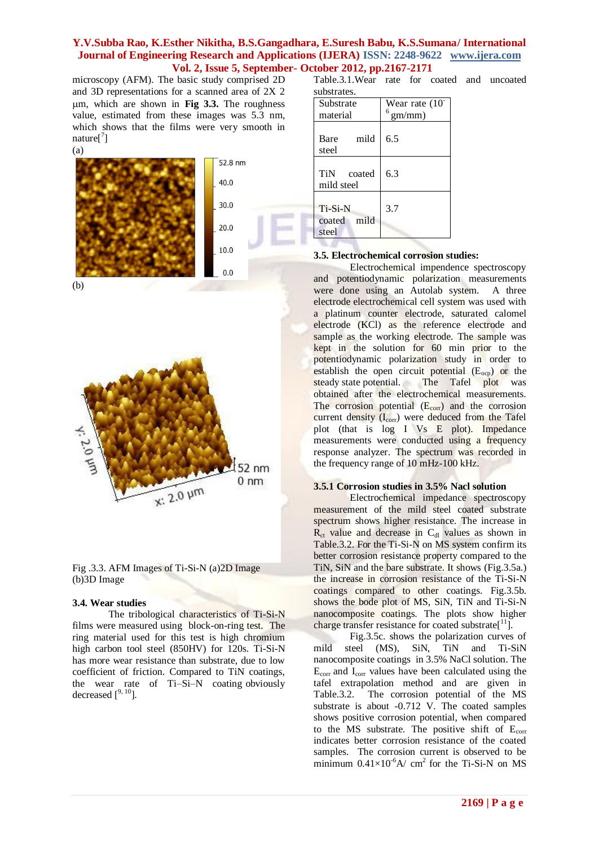microscopy (AFM). The basic study comprised 2D and 3D representations for a scanned area of 2X 2 m, which are shown in **Fig 3.3.** The roughness value, estimated from these images was 5.3 nm, which shows that the films were very smooth in nature<sup>[7</sup>]



(b)





#### **3.4. Wear studies**

The tribological characteristics of Ti-Si-N films were measured using block-on-ring test. The ring material used for this test is high chromium high carbon tool steel (850HV) for 120s. Ti-Si-N has more wear resistance than substrate, due to low coefficient of friction. Compared to TiN coatings, the wear rate of Ti–Si–N coating obviously decreased  $\int^{9, 10}$ ].

Table.3.1.Wear rate for coated and uncoated substrates.

| Substrate<br>material              | Wear rate $(10^{-1})$<br>$6$ gm/mm) |  |  |  |
|------------------------------------|-------------------------------------|--|--|--|
| mild<br>Bare<br>steel              | 6.5                                 |  |  |  |
| TiN coated<br>mild steel           | 6.3                                 |  |  |  |
| Ti-Si-N<br>mild<br>coated<br>steel | 3.7                                 |  |  |  |

#### **3.5. Electrochemical corrosion studies:**

Electrochemical impendence spectroscopy and potentiodynamic polarization measurements were done using an Autolab system. A three electrode electrochemical cell system was used with a platinum counter electrode, saturated calomel electrode (KCl) as the reference electrode and sample as the working electrode. The sample was kept in the solution for 60 min prior to the potentiodynamic polarization study in order to establish the open circuit potential  $(E_{\text{ocp}})$  or the steady state potential. The Tafel plot was obtained after the electrochemical measurements. The corrosion potential  $(E_{\text{corr}})$  and the corrosion current density  $(I_{\text{corr}})$  were deduced from the Tafel plot (that is log I Vs E plot). Impedance measurements were conducted using a frequency response analyzer. The spectrum was recorded in the frequency range of 10 mHz-100 kHz.

#### **3.5.1 Corrosion studies in 3.5% Nacl solution**

Electrochemical impedance spectroscopy measurement of the mild steel coated substrate spectrum shows higher resistance. The increase in  $R_{\rm ct}$  value and decrease in  $C_{\rm dl}$  values as shown in Table.3.2. For the Ti-Si-N on MS system confirm its better corrosion resistance property compared to the TiN, SiN and the bare substrate. It shows (Fig.3.5a.) the increase in corrosion resistance of the Ti-Si-N coatings compared to other coatings. Fig.3.5b. shows the bode plot of MS, SiN, TiN and Ti-Si-N nanocomposite coatings. The plots show higher charge transfer resistance for coated substrate[<sup>11</sup> ].

Fig.3.5c. shows the polarization curves of mild steel (MS), SiN, TiN and Ti-SiN nanocomposite coatings in 3.5% NaCl solution. The  $E_{\text{corr}}$  and  $I_{\text{corr}}$  values have been calculated using the tafel extrapolation method and are given in Table.3.2. The corrosion potential of the MS substrate is about -0.712 V. The coated samples shows positive corrosion potential, when compared to the MS substrate. The positive shift of  $E_{corr}$ indicates better corrosion resistance of the coated samples. The corrosion current is observed to be minimum  $0.41\times10^{-6}$ A/ cm<sup>2</sup> for the Ti-Si-N on MS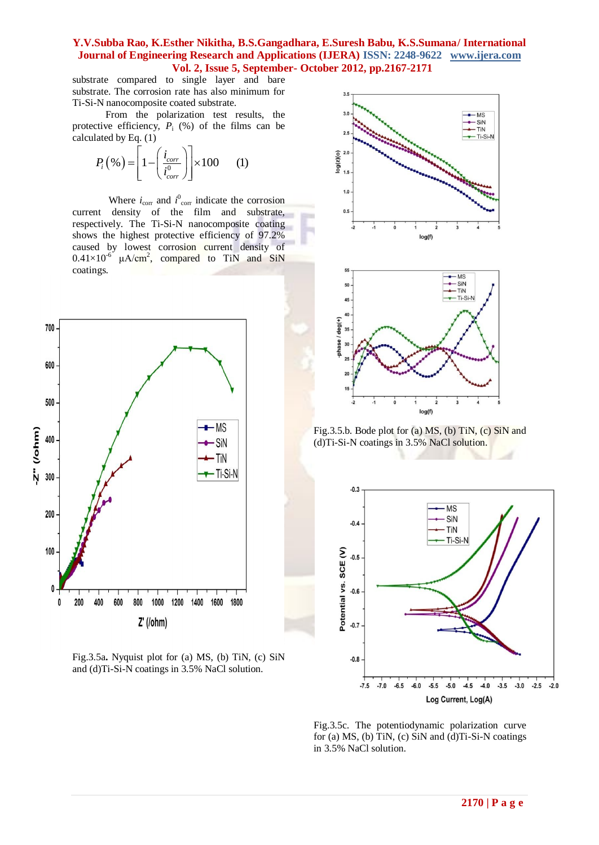substrate compared to single layer and bare substrate. The corrosion rate has also minimum for Ti-Si-N nanocomposite coated substrate.

 From the polarization test results, the protective efficiency,  $P_i$  (%) of the films can be calculated by Eq. (1)

lated by Eq. (1)  

$$
P_i(\% ) = \left[1 - \left(\frac{i_{corr}}{i_{corr}^0}\right)\right] \times 100 \qquad (1)
$$

Where  $i_{\text{corr}}$  and  $i_{\text{corr}}^0$  indicate the corrosion current density of the film and substrate, respectively. The Ti-Si-N nanocomposite coating shows the highest protective efficiency of 97.2% caused by lowest corrosion current density of  $0.41 \times 10^{-6}$  µA/cm<sup>2</sup>, compared to TiN and SiN coatings.



Fig.3.5a**.** Nyquist plot for (a) MS, (b) TiN, (c) SiN and (d)Ti-Si-N coatings in 3.5% NaCl solution.



Fig.3.5.b. Bode plot for (a) MS, (b) TiN, (c) SiN and (d)Ti-Si-N coatings in 3.5% NaCl solution.

 $log(f)$ 

 $\frac{1}{3}$ 



Fig.3.5c. The potentiodynamic polarization curve for (a) MS, (b) TiN, (c) SiN and (d)Ti-Si-N coatings in 3.5% NaCl solution.